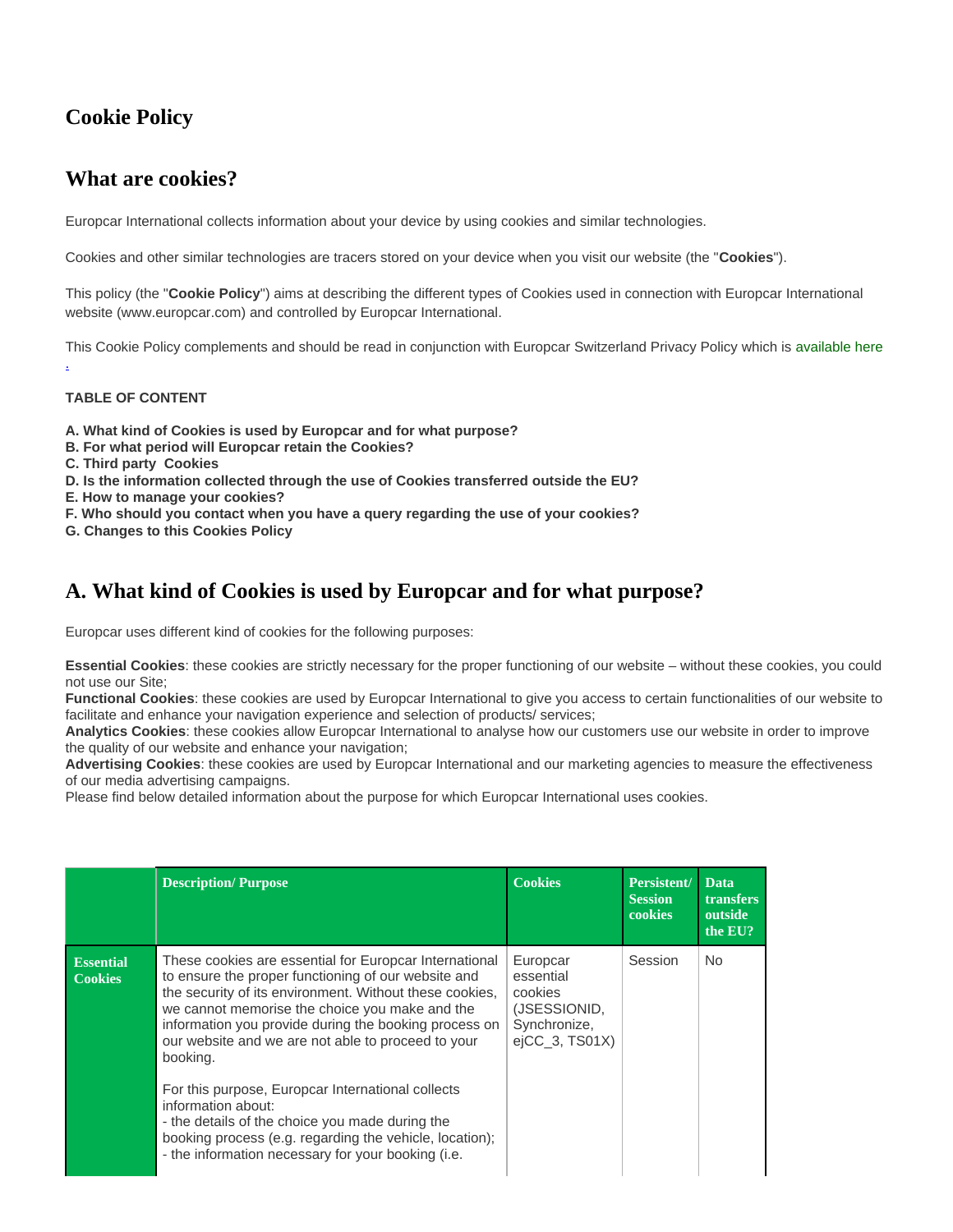# **Cookie Policy**

### **What are cookies?**

Europcar International collects information about your device by using cookies and similar technologies.

Cookies and other similar technologies are tracers stored on your device when you visit our website (the "**Cookies**").

This policy (the "**Cookie Policy**") aims at describing the different types of Cookies used in connection with Europcar International website (www.europcar.com) and controlled by Europcar International.

This Cookie Policy complements and should be read in conjunction with Europcar Switzerland Privacy Policy which is [available here](https://www.europcar.ch/Privacy_Policy)

#### **TABLE OF CONTENT**

[.](https://www.europcar.ch/Privacy_Policy)

- **A. What kind of Cookies is used by Europcar and for what purpose?**
- **B. For what period will Europcar retain the Cookies?**
- **C. Third party Cookies**
- **D. Is the information collected through the use of Cookies transferred outside the EU?**
- **E. How to manage your cookies?**
- **F. Who should you contact when you have a query regarding the use of your cookies?**
- **G. Changes to this Cookies Policy**

### **A. What kind of Cookies is used by Europcar and for what purpose?**

Europcar uses different kind of cookies for the following purposes:

**Essential Cookies**: these cookies are strictly necessary for the proper functioning of our website – without these cookies, you could not use our Site;

**Functional Cookies**: these cookies are used by Europcar International to give you access to certain functionalities of our website to facilitate and enhance your navigation experience and selection of products/ services;

**Analytics Cookies**: these cookies allow Europcar International to analyse how our customers use our website in order to improve the quality of our website and enhance your navigation;

**Advertising Cookies**: these cookies are used by Europcar International and our marketing agencies to measure the effectiveness of our media advertising campaigns.

Please find below detailed information about the purpose for which Europcar International uses cookies.

|                                    | <b>Description/Purpose</b>                                                                                                                                                                                                                                                                                                                                                                                                                                                                                                                     | <b>Cookies</b>                                                                        | Persistent/<br><b>Session</b><br>cookies | <b>Data</b><br><b>transfers</b><br>outside<br>the EU? |
|------------------------------------|------------------------------------------------------------------------------------------------------------------------------------------------------------------------------------------------------------------------------------------------------------------------------------------------------------------------------------------------------------------------------------------------------------------------------------------------------------------------------------------------------------------------------------------------|---------------------------------------------------------------------------------------|------------------------------------------|-------------------------------------------------------|
| <b>Essential</b><br><b>Cookies</b> | These cookies are essential for Europcar International<br>to ensure the proper functioning of our website and<br>the security of its environment. Without these cookies,<br>we cannot memorise the choice you make and the<br>information you provide during the booking process on<br>our website and we are not able to proceed to your<br>booking.<br>For this purpose, Europcar International collects<br>information about:<br>- the details of the choice you made during the<br>booking process (e.g. regarding the vehicle, location); | Europcar<br>essential<br>cookies<br>(JSESSIONID,<br>Synchronize,<br>$e$ iCC 3, TS01X) | Session                                  | No.                                                   |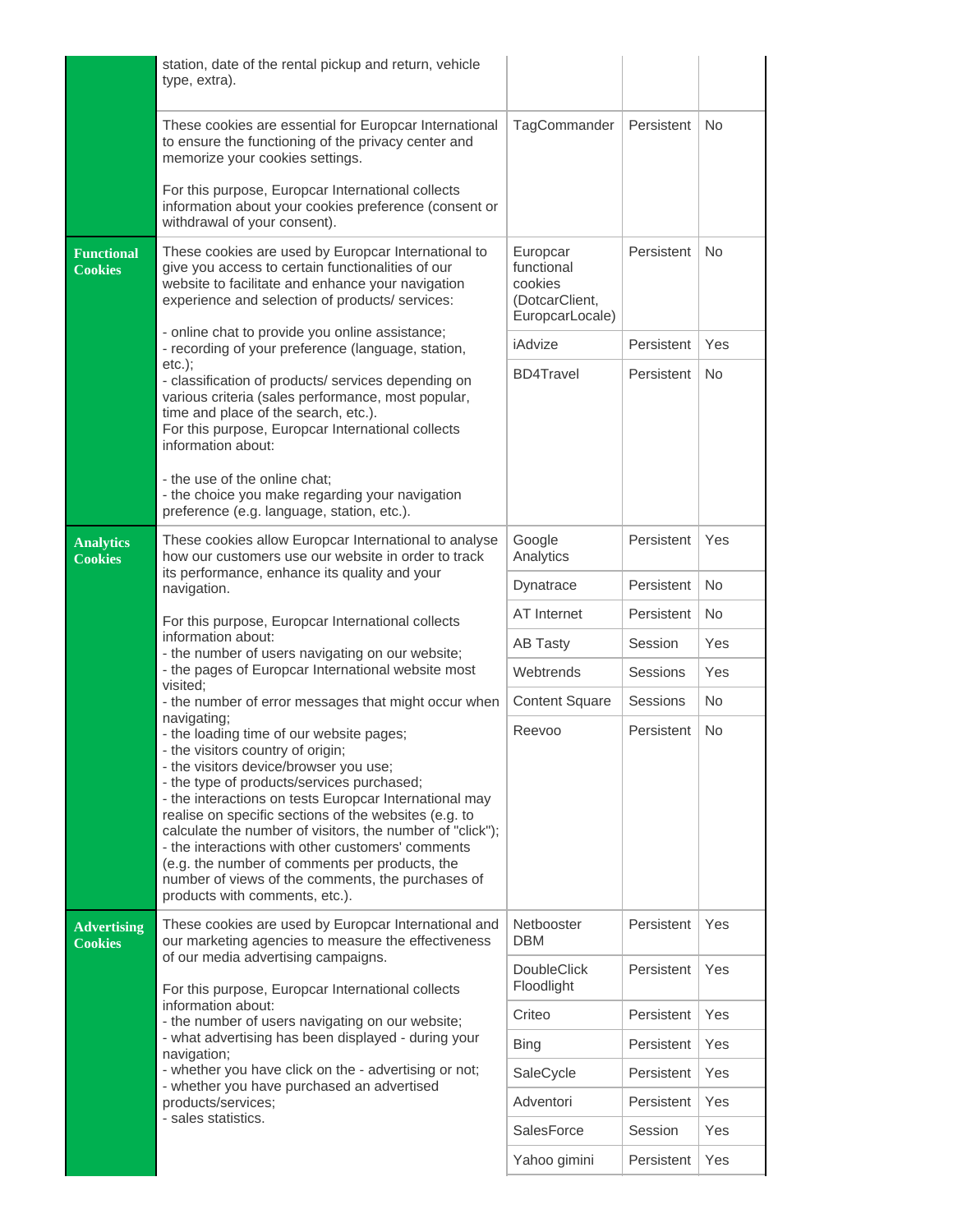|                                      | station, date of the rental pickup and return, vehicle<br>type, extra).                                                                                                                                                                                                                                                                                                                                                                                                                                                                                                                                                                                                                                                                                                |                                                                        |            |           |
|--------------------------------------|------------------------------------------------------------------------------------------------------------------------------------------------------------------------------------------------------------------------------------------------------------------------------------------------------------------------------------------------------------------------------------------------------------------------------------------------------------------------------------------------------------------------------------------------------------------------------------------------------------------------------------------------------------------------------------------------------------------------------------------------------------------------|------------------------------------------------------------------------|------------|-----------|
|                                      | These cookies are essential for Europcar International<br>to ensure the functioning of the privacy center and<br>memorize your cookies settings.                                                                                                                                                                                                                                                                                                                                                                                                                                                                                                                                                                                                                       | TagCommander                                                           | Persistent | No.       |
|                                      | For this purpose, Europcar International collects<br>information about your cookies preference (consent or<br>withdrawal of your consent).                                                                                                                                                                                                                                                                                                                                                                                                                                                                                                                                                                                                                             |                                                                        |            |           |
| <b>Functional</b><br><b>Cookies</b>  | These cookies are used by Europcar International to<br>give you access to certain functionalities of our<br>website to facilitate and enhance your navigation<br>experience and selection of products/ services:                                                                                                                                                                                                                                                                                                                                                                                                                                                                                                                                                       | Europcar<br>functional<br>cookies<br>(DotcarClient,<br>EuropcarLocale) | Persistent | <b>No</b> |
|                                      | - online chat to provide you online assistance;<br>- recording of your preference (language, station,                                                                                                                                                                                                                                                                                                                                                                                                                                                                                                                                                                                                                                                                  | iAdvize                                                                | Persistent | Yes       |
|                                      | $etc.$ :<br>- classification of products/ services depending on<br>various criteria (sales performance, most popular,<br>time and place of the search, etc.).<br>For this purpose, Europcar International collects<br>information about:                                                                                                                                                                                                                                                                                                                                                                                                                                                                                                                               |                                                                        | Persistent | No.       |
|                                      | - the use of the online chat:<br>- the choice you make regarding your navigation<br>preference (e.g. language, station, etc.).                                                                                                                                                                                                                                                                                                                                                                                                                                                                                                                                                                                                                                         |                                                                        |            |           |
| <b>Analytics</b><br><b>Cookies</b>   | These cookies allow Europcar International to analyse<br>how our customers use our website in order to track<br>its performance, enhance its quality and your<br>navigation.                                                                                                                                                                                                                                                                                                                                                                                                                                                                                                                                                                                           | Google<br>Analytics                                                    | Persistent | Yes       |
|                                      |                                                                                                                                                                                                                                                                                                                                                                                                                                                                                                                                                                                                                                                                                                                                                                        | Dynatrace                                                              | Persistent | <b>No</b> |
|                                      | For this purpose, Europcar International collects                                                                                                                                                                                                                                                                                                                                                                                                                                                                                                                                                                                                                                                                                                                      | AT Internet                                                            | Persistent | No.       |
|                                      | information about:<br>- the number of users navigating on our website;<br>- the pages of Europcar International website most<br>visited:<br>- the number of error messages that might occur when<br>navigating;<br>- the loading time of our website pages;<br>- the visitors country of origin;<br>- the visitors device/browser you use;<br>- the type of products/services purchased;<br>- the interactions on tests Europcar International may<br>realise on specific sections of the websites (e.g. to<br>calculate the number of visitors, the number of "click");<br>- the interactions with other customers' comments<br>(e.g. the number of comments per products, the<br>number of views of the comments, the purchases of<br>products with comments, etc.). | <b>AB Tasty</b>                                                        | Session    | Yes       |
|                                      |                                                                                                                                                                                                                                                                                                                                                                                                                                                                                                                                                                                                                                                                                                                                                                        | Webtrends                                                              | Sessions   | Yes       |
|                                      |                                                                                                                                                                                                                                                                                                                                                                                                                                                                                                                                                                                                                                                                                                                                                                        | <b>Content Square</b>                                                  | Sessions   | No.       |
|                                      |                                                                                                                                                                                                                                                                                                                                                                                                                                                                                                                                                                                                                                                                                                                                                                        | Reevoo                                                                 | Persistent | No.       |
| <b>Advertising</b><br><b>Cookies</b> | These cookies are used by Europcar International and<br>our marketing agencies to measure the effectiveness                                                                                                                                                                                                                                                                                                                                                                                                                                                                                                                                                                                                                                                            | Netbooster<br><b>DBM</b>                                               | Persistent | Yes       |
|                                      | of our media advertising campaigns.<br>For this purpose, Europcar International collects<br>information about:<br>- the number of users navigating on our website;<br>- what advertising has been displayed - during your<br>navigation;<br>- whether you have click on the - advertising or not;<br>- whether you have purchased an advertised<br>products/services;<br>- sales statistics.                                                                                                                                                                                                                                                                                                                                                                           | <b>DoubleClick</b><br>Floodlight                                       | Persistent | Yes       |
|                                      |                                                                                                                                                                                                                                                                                                                                                                                                                                                                                                                                                                                                                                                                                                                                                                        | Criteo                                                                 | Persistent | Yes       |
|                                      |                                                                                                                                                                                                                                                                                                                                                                                                                                                                                                                                                                                                                                                                                                                                                                        | <b>Bing</b>                                                            | Persistent | Yes       |
|                                      |                                                                                                                                                                                                                                                                                                                                                                                                                                                                                                                                                                                                                                                                                                                                                                        | SaleCycle                                                              | Persistent | Yes       |
|                                      |                                                                                                                                                                                                                                                                                                                                                                                                                                                                                                                                                                                                                                                                                                                                                                        | Adventori                                                              | Persistent | Yes       |
|                                      |                                                                                                                                                                                                                                                                                                                                                                                                                                                                                                                                                                                                                                                                                                                                                                        | SalesForce                                                             | Session    | Yes       |
|                                      |                                                                                                                                                                                                                                                                                                                                                                                                                                                                                                                                                                                                                                                                                                                                                                        | Yahoo gimini                                                           | Persistent | Yes       |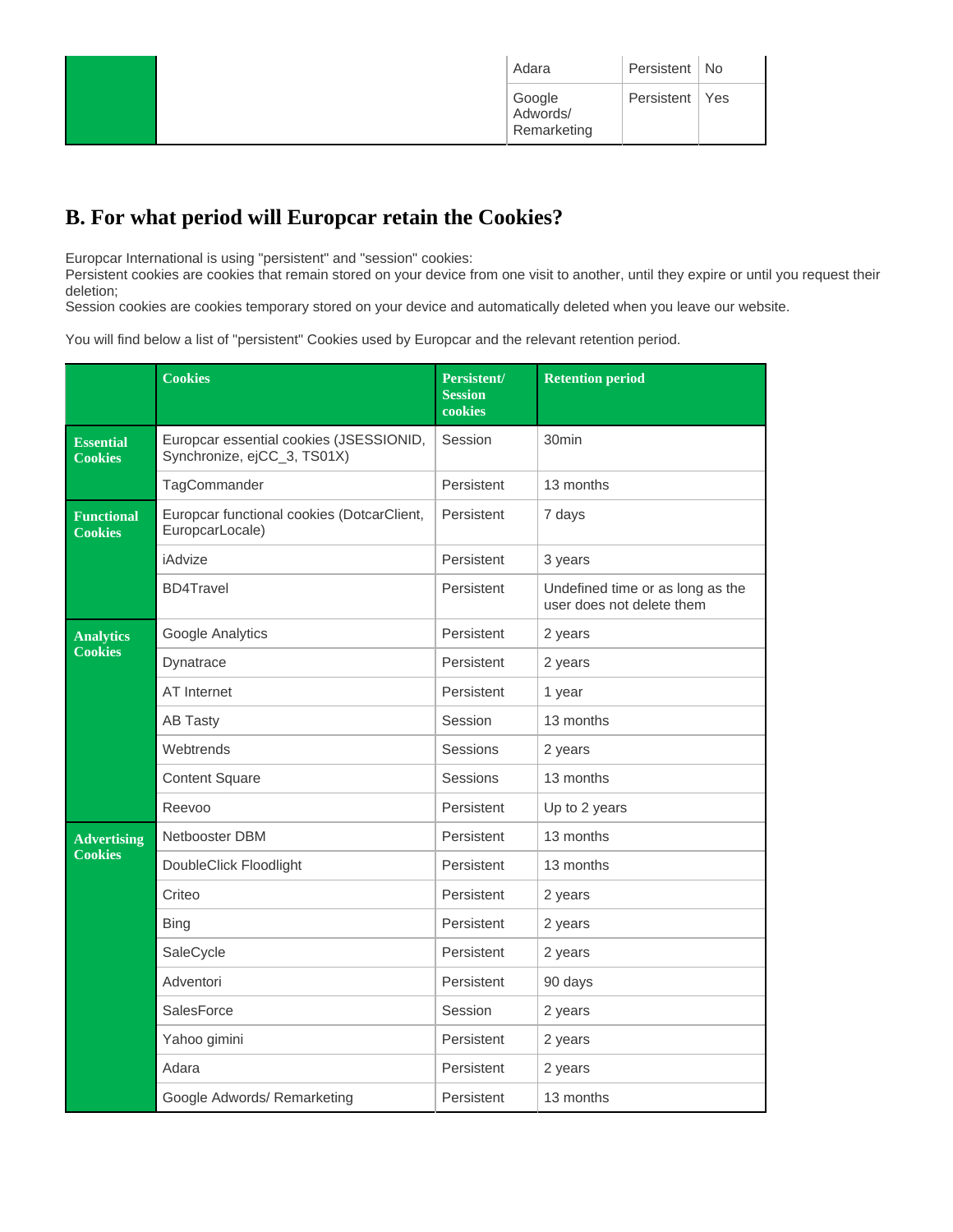| Adara                             | Persistent   No  |  |
|-----------------------------------|------------------|--|
| Google<br>Adwords/<br>Remarketing | Persistent   Yes |  |

# **B. For what period will Europcar retain the Cookies?**

Europcar International is using "persistent" and "session" cookies:

Persistent cookies are cookies that remain stored on your device from one visit to another, until they expire or until you request their deletion;

Session cookies are cookies temporary stored on your device and automatically deleted when you leave our website.

You will find below a list of "persistent" Cookies used by Europcar and the relevant retention period.

|                                      | <b>Cookies</b>                                                         | Persistent/<br><b>Session</b><br>cookies | <b>Retention period</b>                                       |
|--------------------------------------|------------------------------------------------------------------------|------------------------------------------|---------------------------------------------------------------|
| <b>Essential</b><br><b>Cookies</b>   | Europcar essential cookies (JSESSIONID,<br>Synchronize, ejCC_3, TS01X) | Session                                  | 30 <sub>min</sub>                                             |
|                                      | TagCommander                                                           | Persistent                               | 13 months                                                     |
| <b>Functional</b><br><b>Cookies</b>  | Europcar functional cookies (DotcarClient,<br>EuropcarLocale)          | Persistent                               | 7 days                                                        |
|                                      | iAdvize                                                                | Persistent                               | 3 years                                                       |
|                                      | <b>BD4Travel</b>                                                       | Persistent                               | Undefined time or as long as the<br>user does not delete them |
| <b>Analytics</b><br><b>Cookies</b>   | Google Analytics                                                       | Persistent                               | 2 years                                                       |
|                                      | Dynatrace                                                              | Persistent                               | 2 years                                                       |
|                                      | <b>AT Internet</b>                                                     | Persistent                               | 1 year                                                        |
|                                      | <b>AB Tasty</b>                                                        | Session                                  | 13 months                                                     |
|                                      | Webtrends                                                              | Sessions                                 | 2 years                                                       |
|                                      | <b>Content Square</b>                                                  | Sessions                                 | 13 months                                                     |
|                                      | Reevoo                                                                 | Persistent                               | Up to 2 years                                                 |
| <b>Advertising</b><br><b>Cookies</b> | Netbooster DBM                                                         | Persistent                               | 13 months                                                     |
|                                      | DoubleClick Floodlight                                                 | Persistent                               | 13 months                                                     |
|                                      | Criteo                                                                 | Persistent                               | 2 years                                                       |
|                                      | <b>Bing</b>                                                            | Persistent                               | 2 years                                                       |
|                                      | SaleCycle                                                              | Persistent                               | 2 years                                                       |
|                                      | Adventori                                                              | Persistent                               | 90 days                                                       |
|                                      | SalesForce                                                             | Session                                  | 2 years                                                       |
|                                      | Yahoo gimini                                                           | Persistent                               | 2 years                                                       |
|                                      | Adara                                                                  | Persistent                               | 2 years                                                       |
|                                      | Google Adwords/ Remarketing                                            | Persistent                               | 13 months                                                     |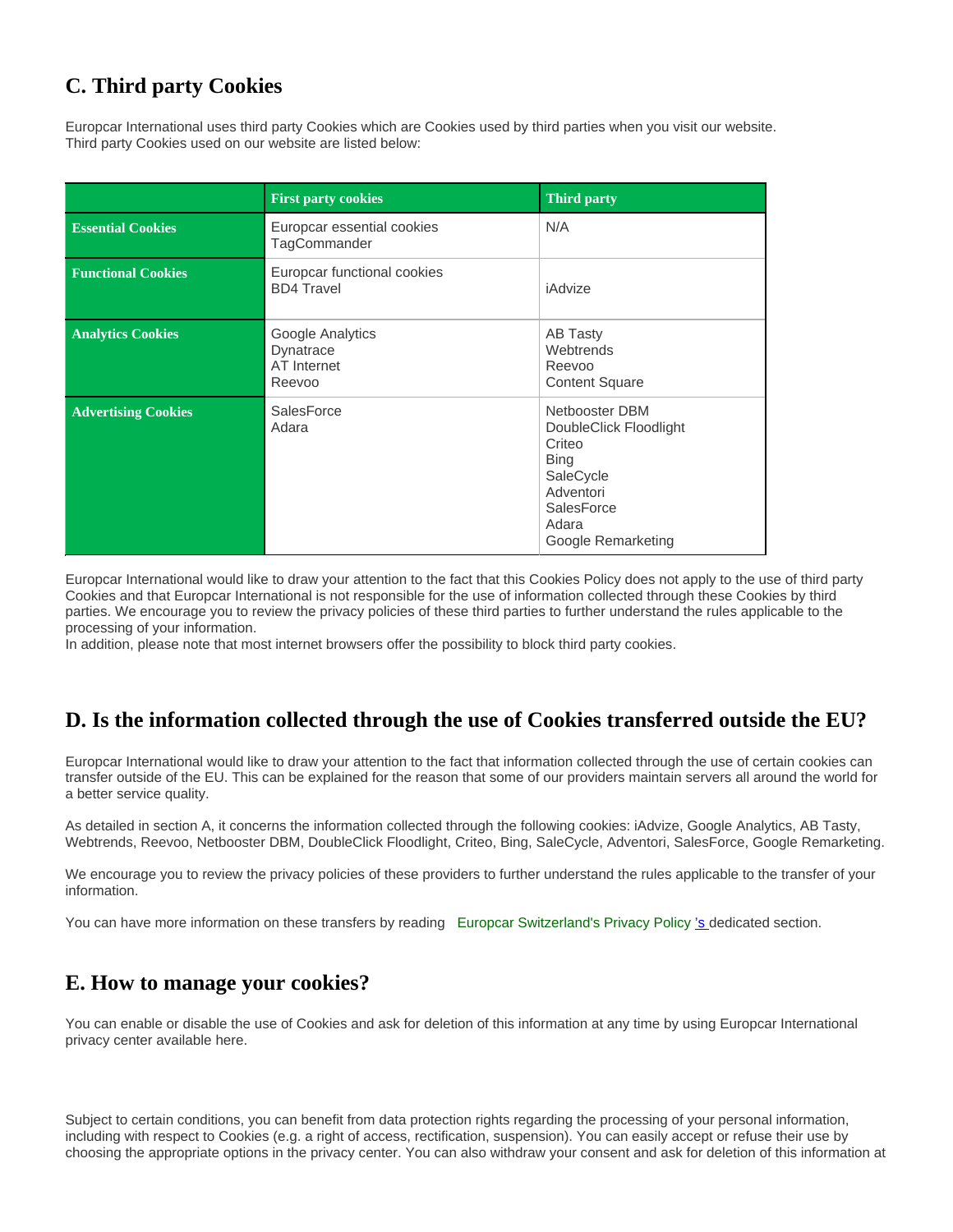## **C. Third party Cookies**

Europcar International uses third party Cookies which are Cookies used by third parties when you visit our website. Third party Cookies used on our website are listed below:

|                            | <b>First party cookies</b>                             | <b>Third party</b>                                                                                                                              |
|----------------------------|--------------------------------------------------------|-------------------------------------------------------------------------------------------------------------------------------------------------|
| <b>Essential Cookies</b>   | Europcar essential cookies<br>TagCommander             | N/A                                                                                                                                             |
| <b>Functional Cookies</b>  | Europcar functional cookies<br><b>BD4 Travel</b>       | iAdvize                                                                                                                                         |
| <b>Analytics Cookies</b>   | Google Analytics<br>Dynatrace<br>AT Internet<br>Reevoo | <b>AB Tasty</b><br>Webtrends<br>Reevoo<br><b>Content Square</b>                                                                                 |
| <b>Advertising Cookies</b> | <b>SalesForce</b><br>Adara                             | Netbooster DBM<br>DoubleClick Floodlight<br>Criteo<br><b>Bing</b><br>SaleCycle<br>Adventori<br><b>SalesForce</b><br>Adara<br>Google Remarketing |

Europcar International would like to draw your attention to the fact that this Cookies Policy does not apply to the use of third party Cookies and that Europcar International is not responsible for the use of information collected through these Cookies by third parties. We encourage you to review the privacy policies of these third parties to further understand the rules applicable to the processing of your information.

In addition, please note that most internet browsers offer the possibility to block third party cookies.

#### **D. Is the information collected through the use of Cookies transferred outside the EU?**

Europcar International would like to draw your attention to the fact that information collected through the use of certain cookies can transfer outside of the EU. This can be explained for the reason that some of our providers maintain servers all around the world for a better service quality.

As detailed in section A, it concerns the information collected through the following cookies: iAdvize, Google Analytics, AB Tasty, Webtrends, Reevoo, Netbooster DBM, DoubleClick Floodlight, Criteo, Bing, SaleCycle, Adventori, SalesForce, Google Remarketing.

We encourage you to review the privacy policies of these providers to further understand the rules applicable to the transfer of your information.

You can have more information on these transfers by reading [Europcar Switzerland's Privacy Policy](https://www.europcar.ch/Privacy_Policy) ['s d](https://www.europcar.ch/Privacy_Policy)edicated section.

#### **E. How to manage your cookies?**

You can enable or disable the use of Cookies and ask for deletion of this information at any time by using Europcar International privacy center available here.

Subject to certain conditions, you can benefit from data protection rights regarding the processing of your personal information, including with respect to Cookies (e.g. a right of access, rectification, suspension). You can easily accept or refuse their use by choosing the appropriate options in the privacy center. You can also withdraw your consent and ask for deletion of this information at